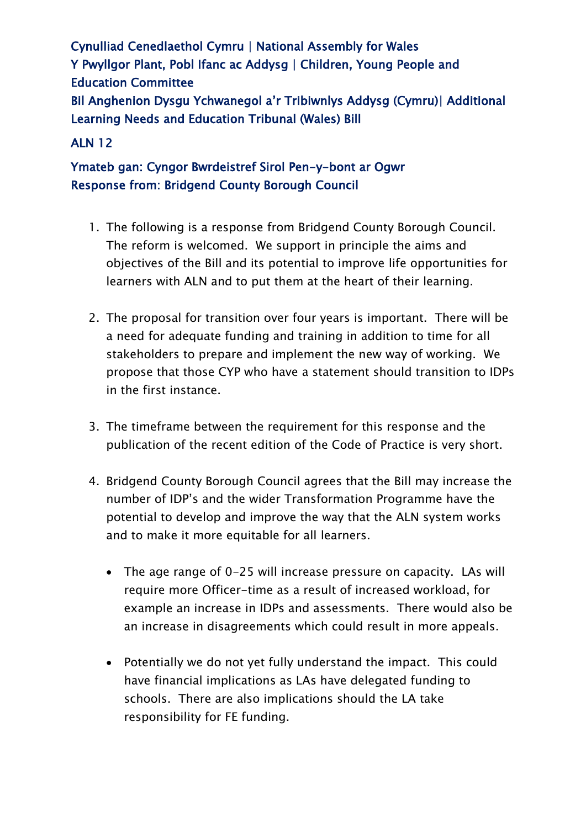Cynulliad Cenedlaethol Cymru | National Assembly for Wales Y Pwyllgor Plant, Pobl Ifanc ac Addysg | Children, Young People and Education Committee Bil Anghenion Dysgu Ychwanegol a'r Tribiwnlys Addysg (Cymru)| Additional Learning Needs and Education Tribunal (Wales) Bill

### ALN 12

## Ymateb gan: Cyngor Bwrdeistref Sirol Pen-y-bont ar Ogwr Response from: Bridgend County Borough Council

- 1. The following is a response from Bridgend County Borough Council. The reform is welcomed. We support in principle the aims and objectives of the Bill and its potential to improve life opportunities for learners with ALN and to put them at the heart of their learning.
- 2. The proposal for transition over four years is important. There will be a need for adequate funding and training in addition to time for all stakeholders to prepare and implement the new way of working. We propose that those CYP who have a statement should transition to IDPs in the first instance.
- 3. The timeframe between the requirement for this response and the publication of the recent edition of the Code of Practice is very short.
- 4. Bridgend County Borough Council agrees that the Bill may increase the number of IDP's and the wider Transformation Programme have the potential to develop and improve the way that the ALN system works and to make it more equitable for all learners.
	- The age range of 0-25 will increase pressure on capacity. LAs will require more Officer-time as a result of increased workload, for example an increase in IDPs and assessments. There would also be an increase in disagreements which could result in more appeals.
	- Potentially we do not yet fully understand the impact. This could have financial implications as LAs have delegated funding to schools. There are also implications should the LA take responsibility for FE funding.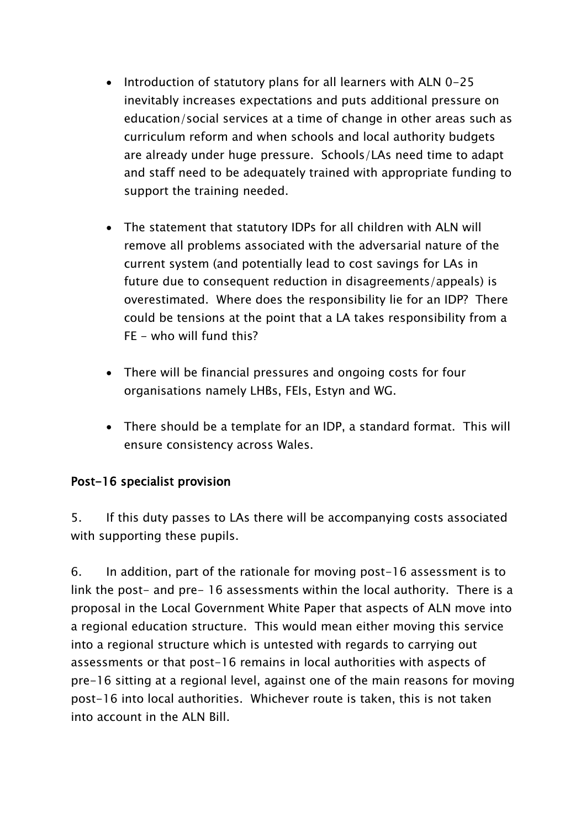- Introduction of statutory plans for all learners with ALN 0-25 inevitably increases expectations and puts additional pressure on education/social services at a time of change in other areas such as curriculum reform and when schools and local authority budgets are already under huge pressure. Schools/LAs need time to adapt and staff need to be adequately trained with appropriate funding to support the training needed.
- The statement that statutory IDPs for all children with ALN will remove all problems associated with the adversarial nature of the current system (and potentially lead to cost savings for LAs in future due to consequent reduction in disagreements/appeals) is overestimated. Where does the responsibility lie for an IDP? There could be tensions at the point that a LA takes responsibility from a FE - who will fund this?
- There will be financial pressures and ongoing costs for four organisations namely LHBs, FEIs, Estyn and WG.
- There should be a template for an IDP, a standard format. This will ensure consistency across Wales.

#### Post-16 specialist provision

5. If this duty passes to LAs there will be accompanying costs associated with supporting these pupils.

6. In addition, part of the rationale for moving post-16 assessment is to link the post- and pre- 16 assessments within the local authority. There is a proposal in the Local Government White Paper that aspects of ALN move into a regional education structure. This would mean either moving this service into a regional structure which is untested with regards to carrying out assessments or that post-16 remains in local authorities with aspects of pre-16 sitting at a regional level, against one of the main reasons for moving post-16 into local authorities. Whichever route is taken, this is not taken into account in the ALN Bill.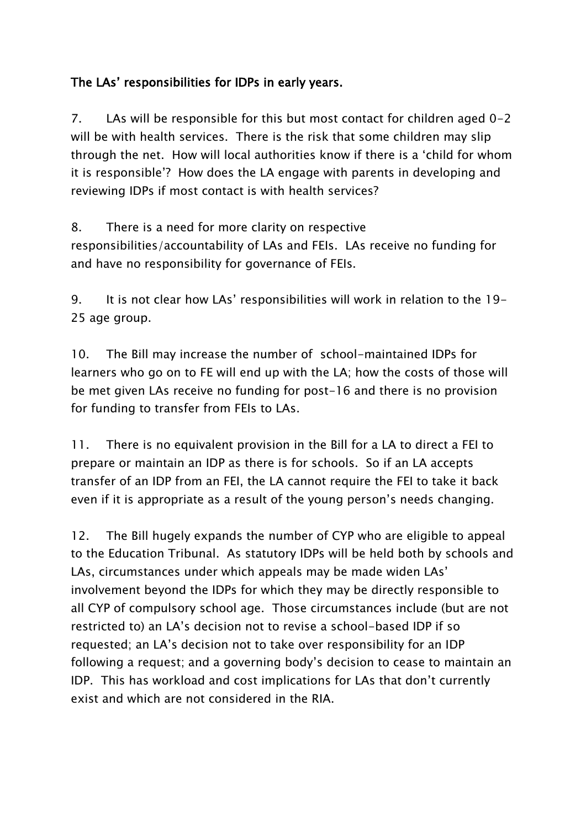# The LAs' responsibilities for IDPs in early years.

7. LAs will be responsible for this but most contact for children aged 0-2 will be with health services. There is the risk that some children may slip through the net. How will local authorities know if there is a 'child for whom it is responsible'? How does the LA engage with parents in developing and reviewing IDPs if most contact is with health services?

8. There is a need for more clarity on respective responsibilities/accountability of LAs and FEIs. LAs receive no funding for and have no responsibility for governance of FEIs.

9. It is not clear how LAs' responsibilities will work in relation to the 19- 25 age group.

10. The Bill may increase the number of school-maintained IDPs for learners who go on to FE will end up with the LA; how the costs of those will be met given LAs receive no funding for post-16 and there is no provision for funding to transfer from FEIs to LAs.

11. There is no equivalent provision in the Bill for a LA to direct a FEI to prepare or maintain an IDP as there is for schools. So if an LA accepts transfer of an IDP from an FEI, the LA cannot require the FEI to take it back even if it is appropriate as a result of the young person's needs changing.

12. The Bill hugely expands the number of CYP who are eligible to appeal to the Education Tribunal. As statutory IDPs will be held both by schools and LAs, circumstances under which appeals may be made widen LAs' involvement beyond the IDPs for which they may be directly responsible to all CYP of compulsory school age. Those circumstances include (but are not restricted to) an LA's decision not to revise a school-based IDP if so requested; an LA's decision not to take over responsibility for an IDP following a request; and a governing body's decision to cease to maintain an IDP. This has workload and cost implications for LAs that don't currently exist and which are not considered in the RIA.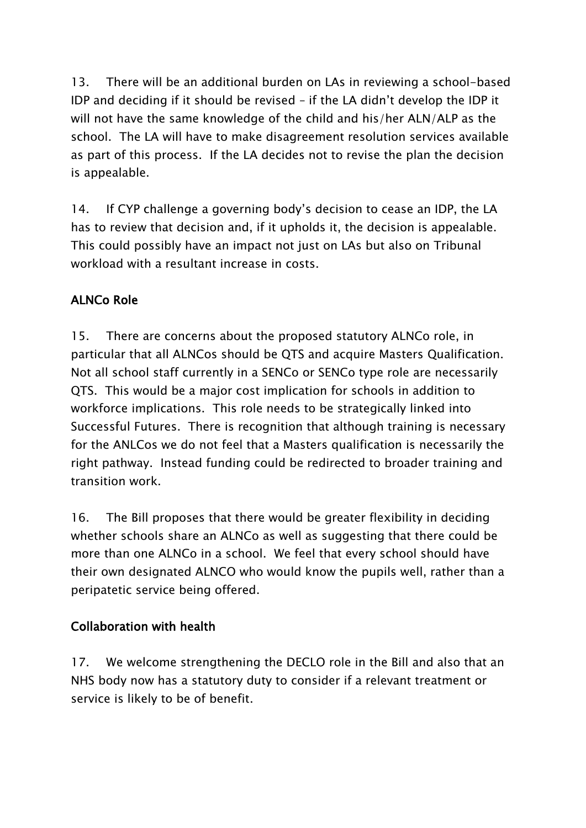13. There will be an additional burden on LAs in reviewing a school-based IDP and deciding if it should be revised – if the LA didn't develop the IDP it will not have the same knowledge of the child and his/her ALN/ALP as the school. The LA will have to make disagreement resolution services available as part of this process. If the LA decides not to revise the plan the decision is appealable.

14. If CYP challenge a governing body's decision to cease an IDP, the LA has to review that decision and, if it upholds it, the decision is appealable. This could possibly have an impact not just on LAs but also on Tribunal workload with a resultant increase in costs.

# ALNCo Role

15. There are concerns about the proposed statutory ALNCo role, in particular that all ALNCos should be QTS and acquire Masters Qualification. Not all school staff currently in a SENCo or SENCo type role are necessarily QTS. This would be a major cost implication for schools in addition to workforce implications. This role needs to be strategically linked into Successful Futures. There is recognition that although training is necessary for the ANLCos we do not feel that a Masters qualification is necessarily the right pathway. Instead funding could be redirected to broader training and transition work.

16. The Bill proposes that there would be greater flexibility in deciding whether schools share an ALNCo as well as suggesting that there could be more than one ALNCo in a school. We feel that every school should have their own designated ALNCO who would know the pupils well, rather than a peripatetic service being offered.

#### Collaboration with health

17. We welcome strengthening the DECLO role in the Bill and also that an NHS body now has a statutory duty to consider if a relevant treatment or service is likely to be of benefit.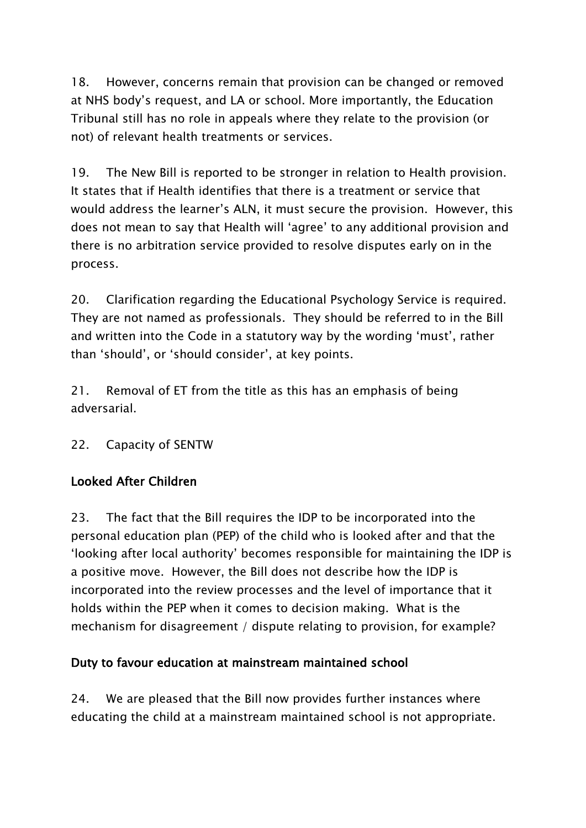18. However, concerns remain that provision can be changed or removed at NHS body's request, and LA or school. More importantly, the Education Tribunal still has no role in appeals where they relate to the provision (or not) of relevant health treatments or services.

19. The New Bill is reported to be stronger in relation to Health provision. It states that if Health identifies that there is a treatment or service that would address the learner's ALN, it must secure the provision. However, this does not mean to say that Health will 'agree' to any additional provision and there is no arbitration service provided to resolve disputes early on in the process.

20. Clarification regarding the Educational Psychology Service is required. They are not named as professionals. They should be referred to in the Bill and written into the Code in a statutory way by the wording 'must', rather than 'should', or 'should consider', at key points.

21. Removal of ET from the title as this has an emphasis of being adversarial.

22. Capacity of SENTW

## Looked After Children

23. The fact that the Bill requires the IDP to be incorporated into the personal education plan (PEP) of the child who is looked after and that the 'looking after local authority' becomes responsible for maintaining the IDP is a positive move. However, the Bill does not describe how the IDP is incorporated into the review processes and the level of importance that it holds within the PEP when it comes to decision making. What is the mechanism for disagreement / dispute relating to provision, for example?

## Duty to favour education at mainstream maintained school

24. We are pleased that the Bill now provides further instances where educating the child at a mainstream maintained school is not appropriate.